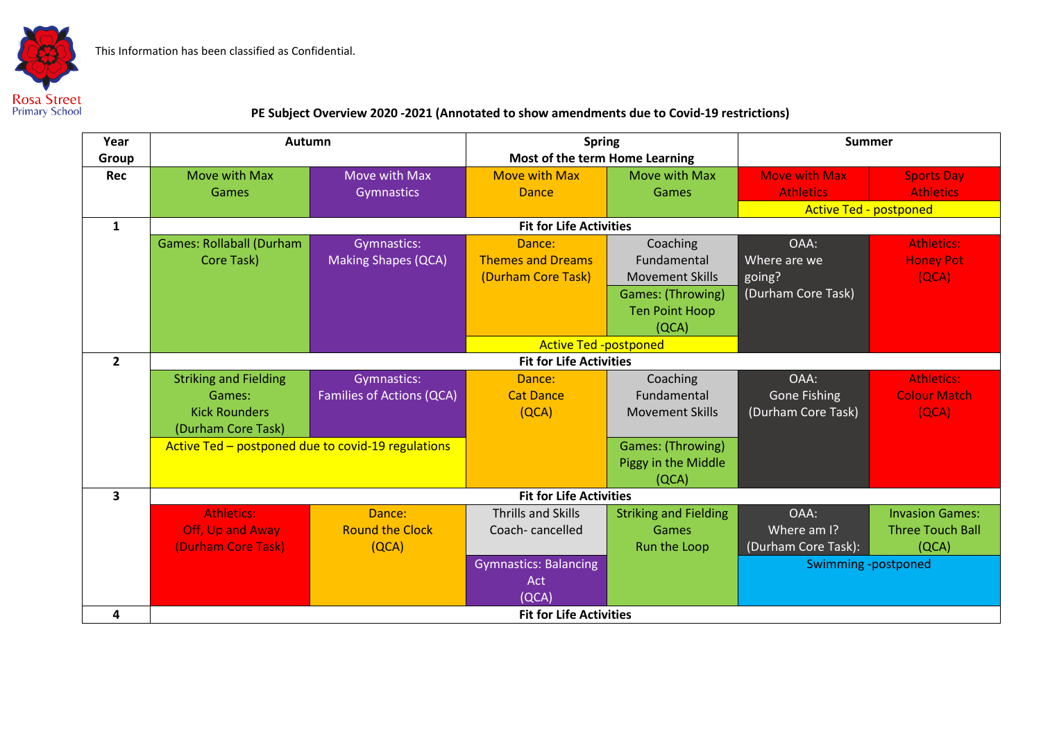This Information has been classified as Confidential.



## **PE Subject Overview 2020 -2021 (Annotated to show amendments due to Covid-19 restrictions)**

| Year           | Autumn                                             |                            | <b>Spring</b>                  |                              | <b>Summer</b>                 |                         |  |  |
|----------------|----------------------------------------------------|----------------------------|--------------------------------|------------------------------|-------------------------------|-------------------------|--|--|
| Group          |                                                    |                            | Most of the term Home Learning |                              |                               |                         |  |  |
| Rec            | Move with Max                                      | Move with Max              | <b>Move with Max</b>           | Move with Max                | <b>Move with Max</b>          | <b>Sports Day</b>       |  |  |
|                | Games                                              | Gymnastics                 | <b>Dance</b>                   | Games                        | <b>Athletics</b>              | <b>Athletics</b>        |  |  |
|                |                                                    |                            |                                |                              | <b>Active Ted - postponed</b> |                         |  |  |
| 1              | <b>Fit for Life Activities</b>                     |                            |                                |                              |                               |                         |  |  |
|                | <b>Games: Rollaball (Durham</b>                    | Gymnastics:                | Dance:                         | Coaching                     | OAA:                          | <b>Athletics:</b>       |  |  |
|                | Core Task)                                         | <b>Making Shapes (QCA)</b> | <b>Themes and Dreams</b>       | Fundamental                  | Where are we                  | <b>Honey Pot</b>        |  |  |
|                |                                                    |                            | (Durham Core Task)             | <b>Movement Skills</b>       | going?                        | (QCA)                   |  |  |
|                |                                                    |                            |                                | Games: (Throwing)            | (Durham Core Task)            |                         |  |  |
|                |                                                    |                            |                                | <b>Ten Point Hoop</b>        |                               |                         |  |  |
|                |                                                    |                            |                                | (QCA)                        |                               |                         |  |  |
|                |                                                    |                            | <b>Active Ted -postponed</b>   |                              |                               |                         |  |  |
| $\overline{2}$ | <b>Fit for Life Activities</b>                     |                            |                                |                              |                               |                         |  |  |
|                | <b>Striking and Fielding</b>                       | Gymnastics:                | Dance:                         | Coaching                     | OAA:                          | <b>Athletics:</b>       |  |  |
|                | Games:                                             | Families of Actions (QCA)  | <b>Cat Dance</b>               | Fundamental                  | <b>Gone Fishing</b>           | <b>Colour Match</b>     |  |  |
|                | <b>Kick Rounders</b>                               |                            | (QCA)                          | <b>Movement Skills</b>       | (Durham Core Task)            | (QCA)                   |  |  |
|                | (Durham Core Task)                                 |                            |                                |                              |                               |                         |  |  |
|                | Active Ted - postponed due to covid-19 regulations |                            |                                | Games: (Throwing)            |                               |                         |  |  |
|                |                                                    |                            |                                | Piggy in the Middle          |                               |                         |  |  |
|                |                                                    |                            |                                | (QCA)                        |                               |                         |  |  |
| 3              | <b>Fit for Life Activities</b>                     |                            |                                |                              |                               |                         |  |  |
|                | <b>Athletics:</b>                                  | Dance:                     | <b>Thrills and Skills</b>      | <b>Striking and Fielding</b> | OAA:                          | <b>Invasion Games:</b>  |  |  |
|                | Off, Up and Away                                   | <b>Round the Clock</b>     | Coach-cancelled                | Games                        | Where am I?                   | <b>Three Touch Ball</b> |  |  |
|                | (Durham Core Task)                                 | (QCA)                      |                                | Run the Loop                 | (Durham Core Task):           | (QCA)                   |  |  |
|                |                                                    |                            | <b>Gymnastics: Balancing</b>   |                              | Swimming -postponed           |                         |  |  |
|                |                                                    |                            | Act                            |                              |                               |                         |  |  |
|                |                                                    |                            | (QCA)                          |                              |                               |                         |  |  |
| 4              | <b>Fit for Life Activities</b>                     |                            |                                |                              |                               |                         |  |  |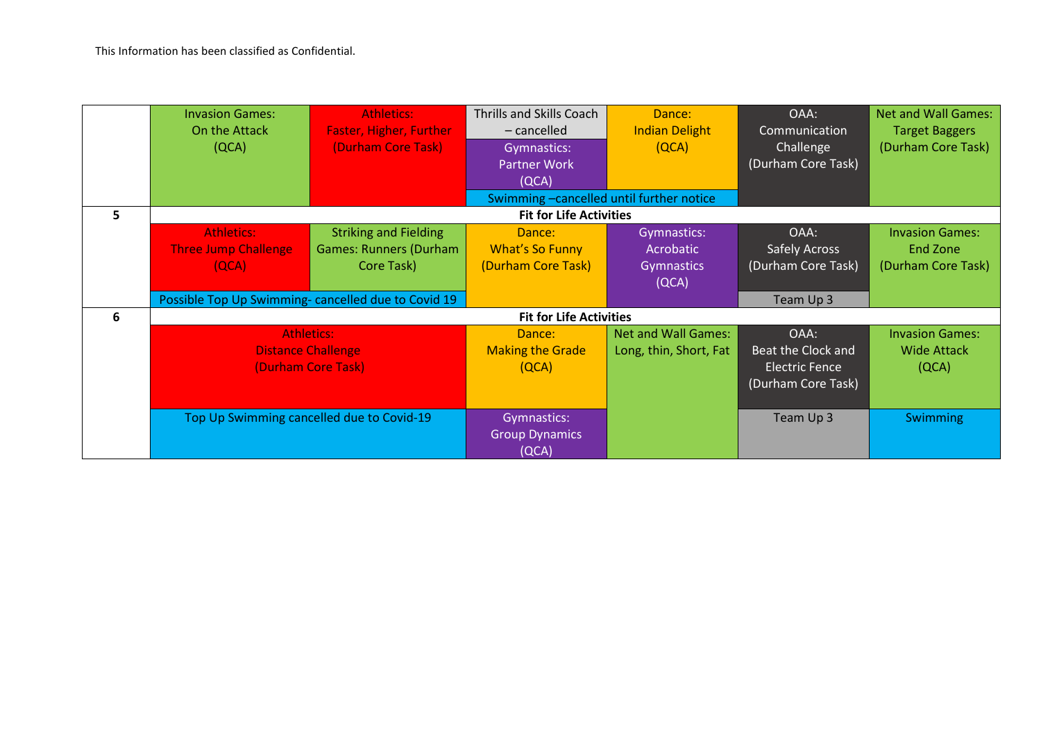|    | <b>Invasion Games:</b><br>On the Attack<br>(QCA)                     | Athletics:<br><b>Faster, Higher, Further</b><br>(Durham Core Task)          | <b>Thrills and Skills Coach</b><br>$-$ cancelled<br>Gymnastics:<br><b>Partner Work</b><br>(QCA) | Dance:<br><b>Indian Delight</b><br>(QCA)               | OAA:<br>Communication<br>Challenge<br>(Durham Core Task)                  | <b>Net and Wall Games:</b><br><b>Target Baggers</b><br>(Durham Core Task) |  |  |
|----|----------------------------------------------------------------------|-----------------------------------------------------------------------------|-------------------------------------------------------------------------------------------------|--------------------------------------------------------|---------------------------------------------------------------------------|---------------------------------------------------------------------------|--|--|
|    |                                                                      |                                                                             | Swimming-cancelled until further notice                                                         |                                                        |                                                                           |                                                                           |  |  |
| 5. | <b>Fit for Life Activities</b>                                       |                                                                             |                                                                                                 |                                                        |                                                                           |                                                                           |  |  |
|    | <b>Athletics:</b><br><b>Three Jump Challenge</b><br>[QCA]            | <b>Striking and Fielding</b><br><b>Games: Runners (Durham</b><br>Core Task) | Dance:<br><b>What's So Funny</b><br>(Durham Core Task)                                          | Gymnastics:<br>Acrobatic<br><b>Gymnastics</b><br>(QCA) | OAA:<br><b>Safely Across</b><br>(Durham Core Task)                        | <b>Invasion Games:</b><br>End Zone<br>(Durham Core Task)                  |  |  |
|    | Possible Top Up Swimming- cancelled due to Covid 19                  |                                                                             |                                                                                                 |                                                        | Team Up 3                                                                 |                                                                           |  |  |
| 6  | <b>Fit for Life Activities</b>                                       |                                                                             |                                                                                                 |                                                        |                                                                           |                                                                           |  |  |
|    | <b>Athletics:</b><br><b>Distance Challenge</b><br>(Durham Core Task) |                                                                             | Dance:<br><b>Making the Grade</b><br>(QCA)                                                      | <b>Net and Wall Games:</b><br>Long, thin, Short, Fat   | OAA:<br>Beat the Clock and<br><b>Electric Fence</b><br>(Durham Core Task) | <b>Invasion Games:</b><br><b>Wide Attack</b><br>(QCA)                     |  |  |
|    | Top Up Swimming cancelled due to Covid-19                            |                                                                             | Gymnastics:<br><b>Group Dynamics</b><br>(QCA)                                                   |                                                        | Team Up 3                                                                 | Swimming                                                                  |  |  |